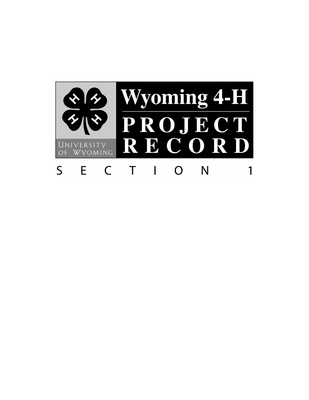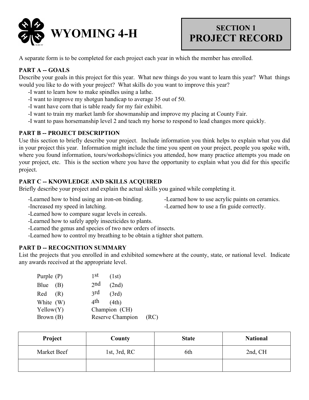

## **PROJECT RECORD**

A separate form is to be completed for each project each year in which the member has enrolled.

### **PART A -- GOALS**

Describe your goals in this project for this year. What new things do you want to learn this year? What things would you like to do with your project? What skills do you want to improve this year?

- -I want to learn how to make spindles using a lathe.
- -I want to improve my shotgun handicap to average 35 out of 50.
- -I want have corn that is table ready for my fair exhibit.
- -I want to train my market lamb for showmanship and improve my placing at County Fair.
- -I want to pass horsemanship level 2 and teach my horse to respond to lead changes more quickly.

#### **PART B -- PROJECT DESCRIPTION**

Use this section to briefly describe your project. Include information you think helps to explain what you did in your project this year. Information might include the time you spent on your project, people you spoke with, where you found information, tours/workshops/clinics you attended, how many practice attempts you made on your project, etc. This is the section where you have the opportunity to explain what you did for this specific project.

#### **PART C -- KNOWLEDGE AND SKILLS ACQUIRED**

Briefly describe your project and explain the actual skills you gained while completing it.

- -Learned how to bind using an iron-on binding. Learned how to use acrylic paints on ceramics.
	-
- 
- -Increased my speed in latching.  $\blacksquare$
- -Learned how to compare sugar levels in cereals.
- -Learned how to safely apply insecticides to plants.
- -Learned the genus and species of two new orders of insects.
- -Learned how to control my breathing to be obtain a tighter shot pattern.

#### **PART D -- RECOGNITION SUMMARY**

List the projects that you enrolled in and exhibited somewhere at the county, state, or national level. Indicate any awards received at the appropriate level.

| Purple $(P)$ | 1 St<br>(1st)        |      |
|--------------|----------------------|------|
| Blue<br>(B)  | 2nd<br>(2nd)         |      |
| Red<br>(R)   | $\gamma$ rd<br>(3rd) |      |
| White (W)    | 4th<br>(4th)         |      |
| Yellow(Y)    | Champion (CH)        |      |
| Brown (B)    | Reserve Champion     | (RC) |

| Project     | County            | <b>State</b> | <b>National</b> |
|-------------|-------------------|--------------|-----------------|
| Market Beef | 1st, $3rd$ , $RC$ | 6th          | 2nd, CH         |
|             |                   |              |                 |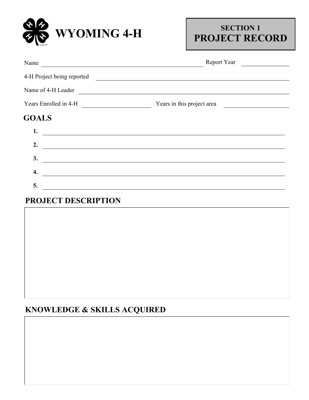

## **PROJECT RECORD**

| Report Year<br><u> 1980 - Jan Barbara</u><br><u> 1989 - Johann Stoff, deutscher Stoffen und der Stoffen und der Stoffen und der Stoffen und der Stoffen und der</u> |
|---------------------------------------------------------------------------------------------------------------------------------------------------------------------|
|                                                                                                                                                                     |
| <u> 1989 - Johann Stein, marwolaethau a bhann an chomhair an t-an chomhair an chomhair an chomhair an chomhair a</u>                                                |
| Years Enrolled in 4-H Team Means in this project area                                                                                                               |
|                                                                                                                                                                     |
|                                                                                                                                                                     |
|                                                                                                                                                                     |
|                                                                                                                                                                     |
|                                                                                                                                                                     |
|                                                                                                                                                                     |
|                                                                                                                                                                     |

## **PROJECT DESCRIPTION**

## **KNOWLEDGE & SKILLS ACQUIRED**